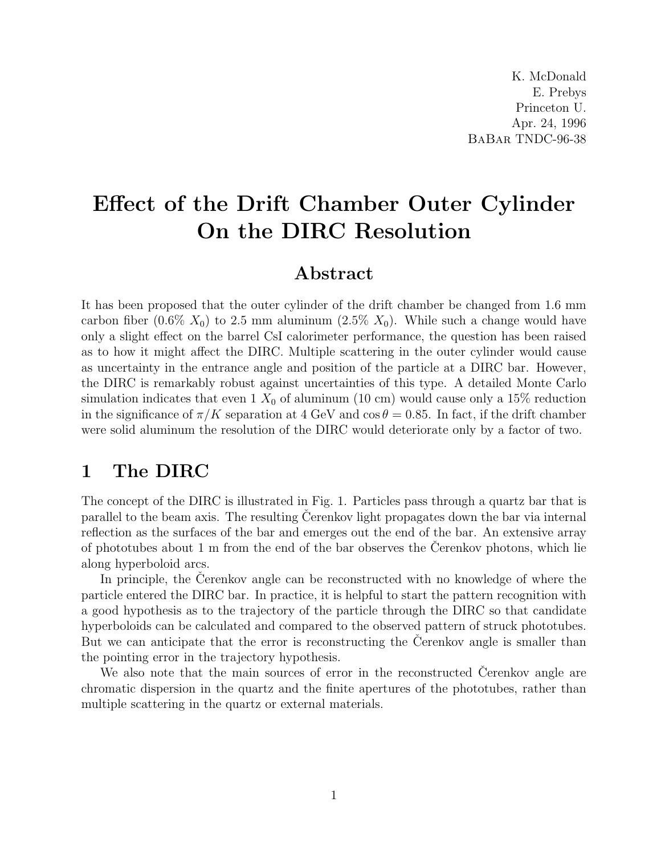## Effect of the Drift Chamber Outer Cylinder On the DIRC Resolution

## Abstract

It has been proposed that the outer cylinder of the drift chamber be changed from 1.6 mm carbon fiber  $(0.6\% X_0)$  to 2.5 mm aluminum  $(2.5\% X_0)$ . While such a change would have only a slight effect on the barrel CsI calorimeter performance, the question has been raised as to how it might affect the DIRC. Multiple scattering in the outer cylinder would cause as uncertainty in the entrance angle and position of the particle at a DIRC bar. However, the DIRC is remarkably robust against uncertainties of this type. A detailed Monte Carlo simulation indicates that even 1  $X_0$  of aluminum (10 cm) would cause only a 15% reduction in the significance of  $\pi/K$  separation at 4 GeV and  $\cos \theta = 0.85$ . In fact, if the drift chamber were solid aluminum the resolution of the DIRC would deteriorate only by a factor of two.

## 1 The DIRC

The concept of the DIRC is illustrated in Fig. 1. Particles pass through a quartz bar that is parallel to the beam axis. The resulting Cerenkov light propagates down the bar via internal reflection as the surfaces of the bar and emerges out the end of the bar. An extensive array of phototubes about  $1 \text{ m}$  from the end of the bar observes the Cerenkov photons, which lie along hyperboloid arcs.

In principle, the Cerenkov angle can be reconstructed with no knowledge of where the particle entered the DIRC bar. In practice, it is helpful to start the pattern recognition with a good hypothesis as to the trajectory of the particle through the DIRC so that candidate hyperboloids can be calculated and compared to the observed pattern of struck phototubes. But we can anticipate that the error is reconstructing the Cerenkov angle is smaller than the pointing error in the trajectory hypothesis.

We also note that the main sources of error in the reconstructed Cerenkov angle are chromatic dispersion in the quartz and the finite apertures of the phototubes, rather than multiple scattering in the quartz or external materials.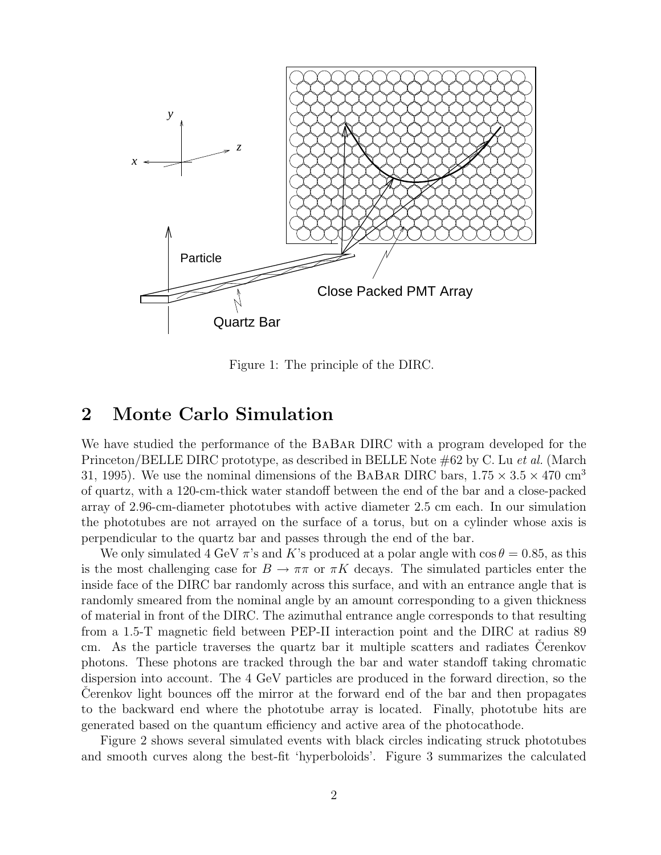

Figure 1: The principle of the DIRC.

## 2 Monte Carlo Simulation

We have studied the performance of the BaBar DIRC with a program developed for the Princeton/BELLE DIRC prototype, as described in BELLE Note #62 by C. Lu *et al.* (March 31, 1995). We use the nominal dimensions of the BABAR DIRC bars,  $1.75 \times 3.5 \times 470$  cm<sup>3</sup> of quartz, with a 120-cm-thick water standoff between the end of the bar and a close-packed array of 2.96-cm-diameter phototubes with active diameter 2.5 cm each. In our simulation the phototubes are not arrayed on the surface of a torus, but on a cylinder whose axis is perpendicular to the quartz bar and passes through the end of the bar.

We only simulated 4 GeV  $\pi$ 's and K's produced at a polar angle with cos  $\theta = 0.85$ , as this is the most challenging case for  $B \to \pi\pi$  or  $\pi K$  decays. The simulated particles enter the inside face of the DIRC bar randomly across this surface, and with an entrance angle that is randomly smeared from the nominal angle by an amount corresponding to a given thickness of material in front of the DIRC. The azimuthal entrance angle corresponds to that resulting from a 1.5-T magnetic field between PEP-II interaction point and the DIRC at radius 89 cm. As the particle traverses the quartz bar it multiple scatters and radiates Cerenkov photons. These photons are tracked through the bar and water standoff taking chromatic dispersion into account. The 4 GeV particles are produced in the forward direction, so the Cerenkov light bounces off the mirror at the forward end of the bar and then propagates to the backward end where the phototube array is located. Finally, phototube hits are generated based on the quantum efficiency and active area of the photocathode.

Figure 2 shows several simulated events with black circles indicating struck phototubes and smooth curves along the best-fit 'hyperboloids'. Figure 3 summarizes the calculated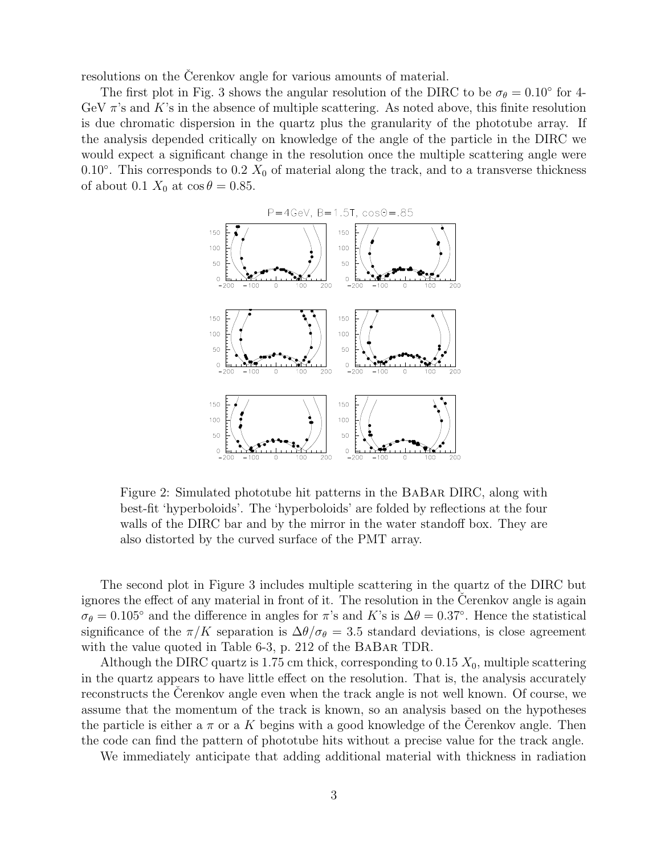resolutions on the Cerenkov angle for various amounts of material.

The first plot in Fig. 3 shows the angular resolution of the DIRC to be  $\sigma_{\theta} = 0.10^{\circ}$  for 4-GeV  $\pi$ 's and K's in the absence of multiple scattering. As noted above, this finite resolution is due chromatic dispersion in the quartz plus the granularity of the phototube array. If the analysis depended critically on knowledge of the angle of the particle in the DIRC we would expect a significant change in the resolution once the multiple scattering angle were 0.10 $^{\circ}$ . This corresponds to 0.2  $X_0$  of material along the track, and to a transverse thickness of about 0.1  $X_0$  at  $\cos \theta = 0.85$ .



Figure 2: Simulated phototube hit patterns in the BaBar DIRC, along with best-fit 'hyperboloids'. The 'hyperboloids' are folded by reflections at the four walls of the DIRC bar and by the mirror in the water standoff box. They are also distorted by the curved surface of the PMT array.

The second plot in Figure 3 includes multiple scattering in the quartz of the DIRC but ignores the effect of any material in front of it. The resolution in the Cerenkov angle is again  $\sigma_{\theta} = 0.105^{\circ}$  and the difference in angles for  $\pi$ 's and K's is  $\Delta \theta = 0.37^{\circ}$ . Hence the statistical significance of the  $\pi/K$  separation is  $\Delta\theta/\sigma_{\theta} = 3.5$  standard deviations, is close agreement with the value quoted in Table 6-3, p. 212 of the BABAR TDR.

Although the DIRC quartz is 1.75 cm thick, corresponding to 0.15  $X_0$ , multiple scattering in the quartz appears to have little effect on the resolution. That is, the analysis accurately reconstructs the Cerenkov angle even when the track angle is not well known. Of course, we assume that the momentum of the track is known, so an analysis based on the hypotheses the particle is either a  $\pi$  or a K begins with a good knowledge of the Cerenkov angle. Then the code can find the pattern of phototube hits without a precise value for the track angle.

We immediately anticipate that adding additional material with thickness in radiation